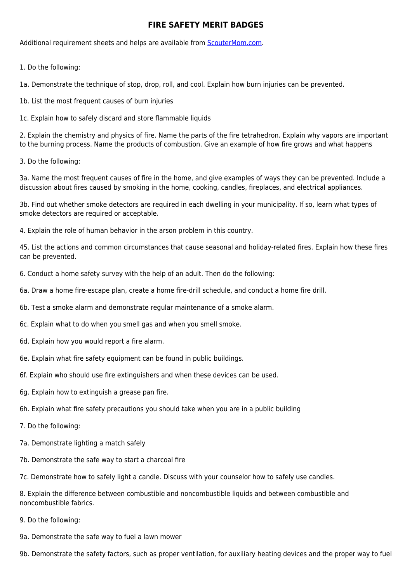## **FIRE SAFETY MERIT BADGES**

Additional requirement sheets and helps are available from [ScouterMom.com](http://scoutermom.com).

1. Do the following:

1a. Demonstrate the technique of stop, drop, roll, and cool. Explain how burn injuries can be prevented.

- 1b. List the most frequent causes of burn injuries
- 1c. Explain how to safely discard and store flammable liquids

2. Explain the chemistry and physics of fire. Name the parts of the fire tetrahedron. Explain why vapors are important to the burning process. Name the products of combustion. Give an example of how fire grows and what happens

3. Do the following:

3a. Name the most frequent causes of fire in the home, and give examples of ways they can be prevented. Include a discussion about fires caused by smoking in the home, cooking, candles, fireplaces, and electrical appliances.

3b. Find out whether smoke detectors are required in each dwelling in your municipality. If so, learn what types of smoke detectors are required or acceptable.

4. Explain the role of human behavior in the arson problem in this country.

45. List the actions and common circumstances that cause seasonal and holiday-related fires. Explain how these fires can be prevented.

- 6. Conduct a home safety survey with the help of an adult. Then do the following:
- 6a. Draw a home fire-escape plan, create a home fire-drill schedule, and conduct a home fire drill.
- 6b. Test a smoke alarm and demonstrate regular maintenance of a smoke alarm.
- 6c. Explain what to do when you smell gas and when you smell smoke.
- 6d. Explain how you would report a fire alarm.
- 6e. Explain what fire safety equipment can be found in public buildings.
- 6f. Explain who should use fire extinguishers and when these devices can be used.
- 6g. Explain how to extinguish a grease pan fire.
- 6h. Explain what fire safety precautions you should take when you are in a public building
- 7. Do the following:
- 7a. Demonstrate lighting a match safely
- 7b. Demonstrate the safe way to start a charcoal fire

7c. Demonstrate how to safely light a candle. Discuss with your counselor how to safely use candles.

8. Explain the difference between combustible and noncombustible liquids and between combustible and noncombustible fabrics.

- 9. Do the following:
- 9a. Demonstrate the safe way to fuel a lawn mower

9b. Demonstrate the safety factors, such as proper ventilation, for auxiliary heating devices and the proper way to fuel